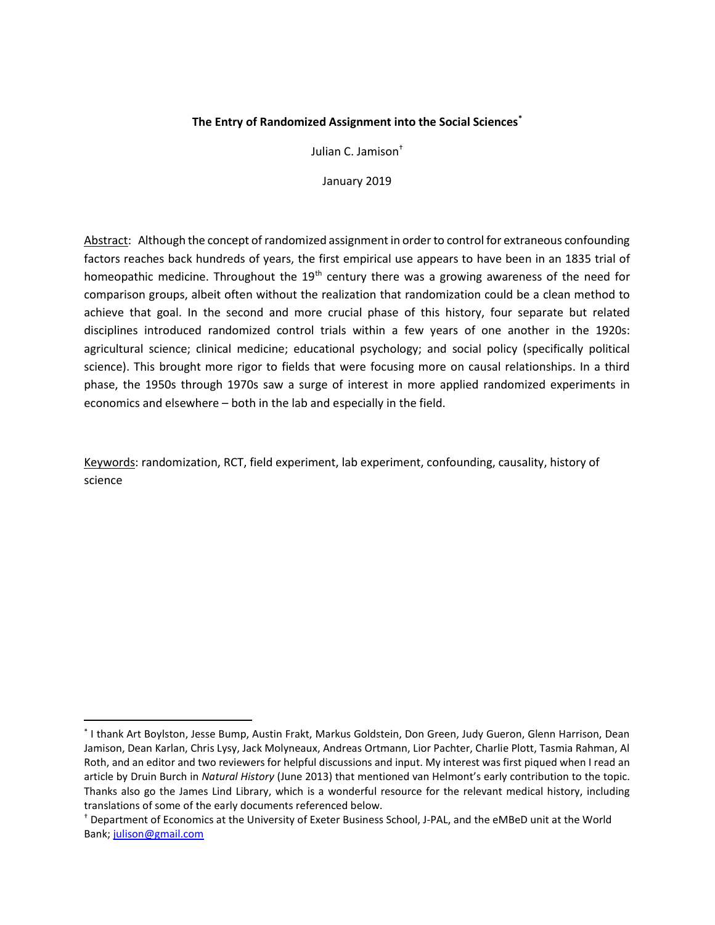## The Entry of Randomized Assignment into the Social Sciences<sup>\*</sup>

Julian C. Jamison†

January 2019

Abstract: Although the concept of randomized assignment in order to control for extraneous confounding factors reaches back hundreds of years, the first empirical use appears to have been in an 1835 trial of homeopathic medicine. Throughout the  $19<sup>th</sup>$  century there was a growing awareness of the need for comparison groups, albeit often without the realization that randomization could be a clean method to achieve that goal. In the second and more crucial phase of this history, four separate but related disciplines introduced randomized control trials within a few years of one another in the 1920s: agricultural science; clinical medicine; educational psychology; and social policy (specifically political science). This brought more rigor to fields that were focusing more on causal relationships. In a third phase, the 1950s through 1970s saw a surge of interest in more applied randomized experiments in economics and elsewhere – both in the lab and especially in the field.

Keywords: randomization, RCT, field experiment, lab experiment, confounding, causality, history of science

<sup>\*</sup> I thank Art Boylston, Jesse Bump, Austin Frakt, Markus Goldstein, Don Green, Judy Gueron, Glenn Harrison, Dean Jamison, Dean Karlan, Chris Lysy, Jack Molyneaux, Andreas Ortmann, Lior Pachter, Charlie Plott, Tasmia Rahman, Al Roth, and an editor and two reviewers for helpful discussions and input. My interest was first piqued when I read an article by Druin Burch in Natural History (June 2013) that mentioned van Helmont's early contribution to the topic. Thanks also go the James Lind Library, which is a wonderful resource for the relevant medical history, including translations of some of the early documents referenced below.

<sup>†</sup> Department of Economics at the University of Exeter Business School, J-PAL, and the eMBeD unit at the World Bank; julison@gmail.com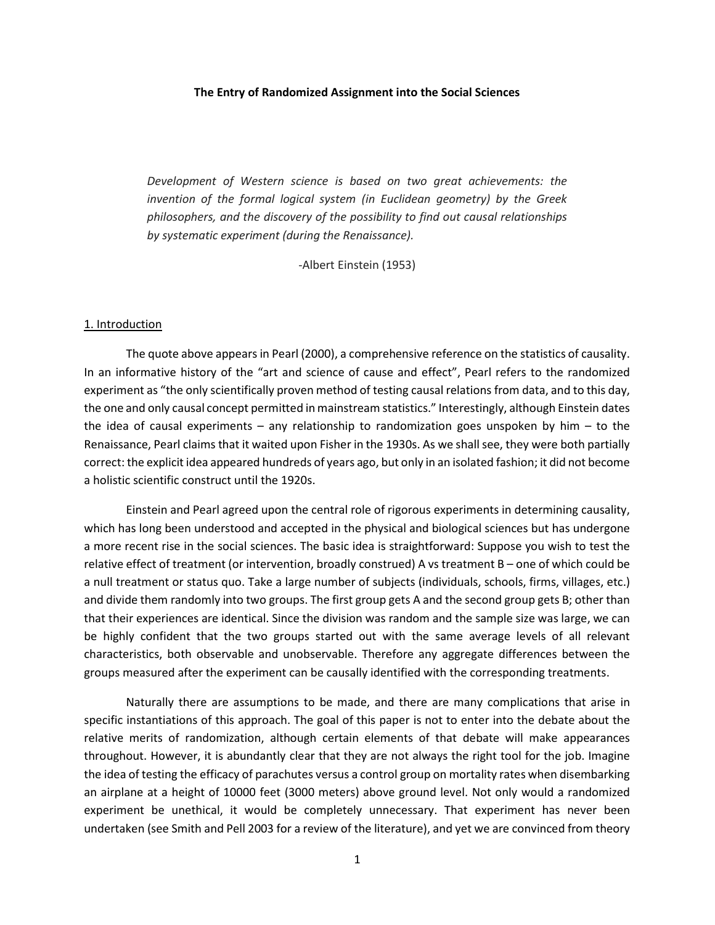#### The Entry of Randomized Assignment into the Social Sciences

Development of Western science is based on two great achievements: the invention of the formal logical system (in Euclidean geometry) by the Greek philosophers, and the discovery of the possibility to find out causal relationships by systematic experiment (during the Renaissance).

-Albert Einstein (1953)

#### 1. Introduction

 The quote above appears in Pearl (2000), a comprehensive reference on the statistics of causality. In an informative history of the "art and science of cause and effect", Pearl refers to the randomized experiment as "the only scientifically proven method of testing causal relations from data, and to this day, the one and only causal concept permitted in mainstream statistics." Interestingly, although Einstein dates the idea of causal experiments – any relationship to randomization goes unspoken by him – to the Renaissance, Pearl claims that it waited upon Fisher in the 1930s. As we shall see, they were both partially correct: the explicit idea appeared hundreds of years ago, but only in an isolated fashion; it did not become a holistic scientific construct until the 1920s.

 Einstein and Pearl agreed upon the central role of rigorous experiments in determining causality, which has long been understood and accepted in the physical and biological sciences but has undergone a more recent rise in the social sciences. The basic idea is straightforward: Suppose you wish to test the relative effect of treatment (or intervention, broadly construed) A vs treatment B – one of which could be a null treatment or status quo. Take a large number of subjects (individuals, schools, firms, villages, etc.) and divide them randomly into two groups. The first group gets A and the second group gets B; other than that their experiences are identical. Since the division was random and the sample size was large, we can be highly confident that the two groups started out with the same average levels of all relevant characteristics, both observable and unobservable. Therefore any aggregate differences between the groups measured after the experiment can be causally identified with the corresponding treatments.

 Naturally there are assumptions to be made, and there are many complications that arise in specific instantiations of this approach. The goal of this paper is not to enter into the debate about the relative merits of randomization, although certain elements of that debate will make appearances throughout. However, it is abundantly clear that they are not always the right tool for the job. Imagine the idea of testing the efficacy of parachutes versus a control group on mortality rates when disembarking an airplane at a height of 10000 feet (3000 meters) above ground level. Not only would a randomized experiment be unethical, it would be completely unnecessary. That experiment has never been undertaken (see Smith and Pell 2003 for a review of the literature), and yet we are convinced from theory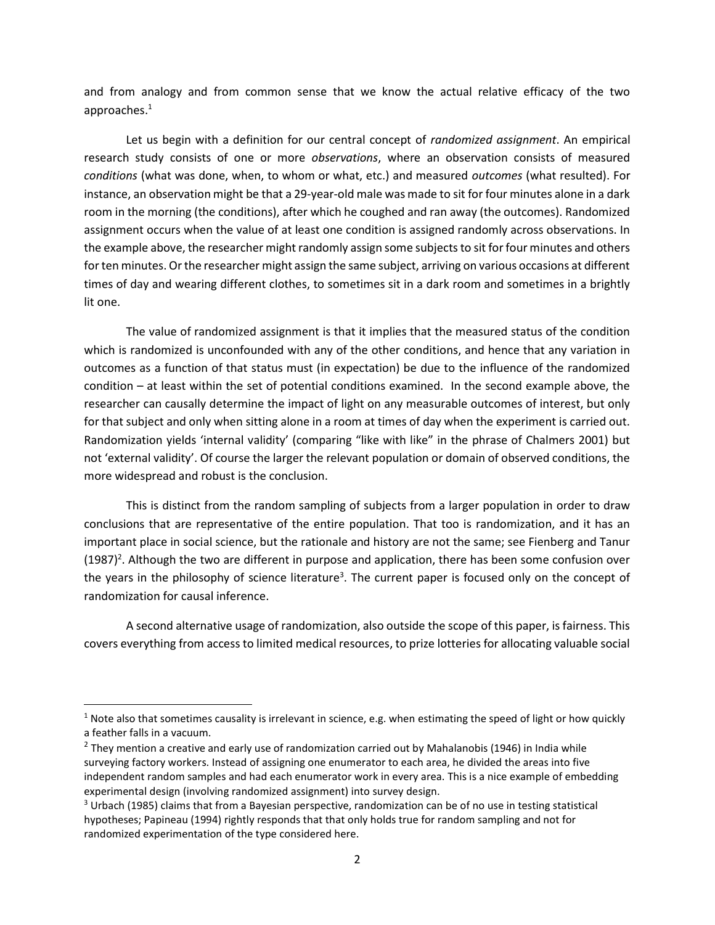and from analogy and from common sense that we know the actual relative efficacy of the two approaches.<sup>1</sup>

Let us begin with a definition for our central concept of *randomized assignment*. An empirical research study consists of one or more *observations*, where an observation consists of measured conditions (what was done, when, to whom or what, etc.) and measured outcomes (what resulted). For instance, an observation might be that a 29-year-old male was made to sit for four minutes alone in a dark room in the morning (the conditions), after which he coughed and ran away (the outcomes). Randomized assignment occurs when the value of at least one condition is assigned randomly across observations. In the example above, the researcher might randomly assign some subjects to sit for four minutes and others for ten minutes. Or the researcher might assign the same subject, arriving on various occasions at different times of day and wearing different clothes, to sometimes sit in a dark room and sometimes in a brightly lit one.

 The value of randomized assignment is that it implies that the measured status of the condition which is randomized is unconfounded with any of the other conditions, and hence that any variation in outcomes as a function of that status must (in expectation) be due to the influence of the randomized condition – at least within the set of potential conditions examined. In the second example above, the researcher can causally determine the impact of light on any measurable outcomes of interest, but only for that subject and only when sitting alone in a room at times of day when the experiment is carried out. Randomization yields 'internal validity' (comparing "like with like" in the phrase of Chalmers 2001) but not 'external validity'. Of course the larger the relevant population or domain of observed conditions, the more widespread and robust is the conclusion.

 This is distinct from the random sampling of subjects from a larger population in order to draw conclusions that are representative of the entire population. That too is randomization, and it has an important place in social science, but the rationale and history are not the same; see Fienberg and Tanur  $(1987)^2$ . Although the two are different in purpose and application, there has been some confusion over the years in the philosophy of science literature<sup>3</sup>. The current paper is focused only on the concept of randomization for causal inference.

 A second alternative usage of randomization, also outside the scope of this paper, is fairness. This covers everything from access to limited medical resources, to prize lotteries for allocating valuable social

<sup>&</sup>lt;sup>1</sup> Note also that sometimes causality is irrelevant in science, e.g. when estimating the speed of light or how quickly a feather falls in a vacuum.

 $<sup>2</sup>$  They mention a creative and early use of randomization carried out by Mahalanobis (1946) in India while</sup> surveying factory workers. Instead of assigning one enumerator to each area, he divided the areas into five independent random samples and had each enumerator work in every area. This is a nice example of embedding experimental design (involving randomized assignment) into survey design.

<sup>&</sup>lt;sup>3</sup> Urbach (1985) claims that from a Bayesian perspective, randomization can be of no use in testing statistical hypotheses; Papineau (1994) rightly responds that that only holds true for random sampling and not for randomized experimentation of the type considered here.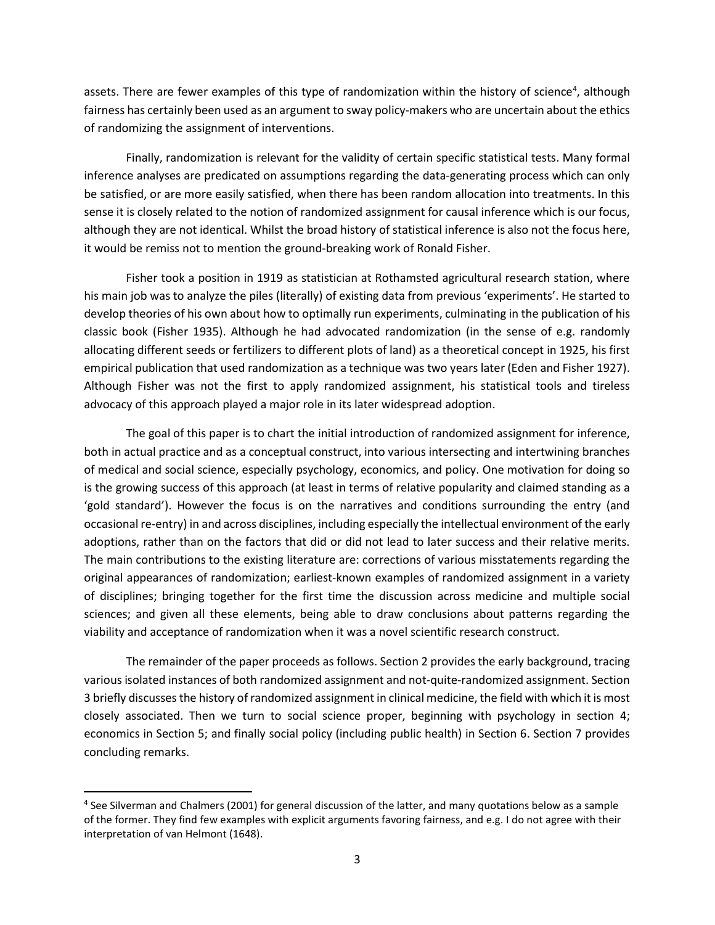assets. There are fewer examples of this type of randomization within the history of science<sup>4</sup>, although fairness has certainly been used as an argument to sway policy-makers who are uncertain about the ethics of randomizing the assignment of interventions.

 Finally, randomization is relevant for the validity of certain specific statistical tests. Many formal inference analyses are predicated on assumptions regarding the data-generating process which can only be satisfied, or are more easily satisfied, when there has been random allocation into treatments. In this sense it is closely related to the notion of randomized assignment for causal inference which is our focus, although they are not identical. Whilst the broad history of statistical inference is also not the focus here, it would be remiss not to mention the ground-breaking work of Ronald Fisher.

Fisher took a position in 1919 as statistician at Rothamsted agricultural research station, where his main job was to analyze the piles (literally) of existing data from previous 'experiments'. He started to develop theories of his own about how to optimally run experiments, culminating in the publication of his classic book (Fisher 1935). Although he had advocated randomization (in the sense of e.g. randomly allocating different seeds or fertilizers to different plots of land) as a theoretical concept in 1925, his first empirical publication that used randomization as a technique was two years later (Eden and Fisher 1927). Although Fisher was not the first to apply randomized assignment, his statistical tools and tireless advocacy of this approach played a major role in its later widespread adoption.

 The goal of this paper is to chart the initial introduction of randomized assignment for inference, both in actual practice and as a conceptual construct, into various intersecting and intertwining branches of medical and social science, especially psychology, economics, and policy. One motivation for doing so is the growing success of this approach (at least in terms of relative popularity and claimed standing as a 'gold standard'). However the focus is on the narratives and conditions surrounding the entry (and occasional re-entry) in and across disciplines, including especially the intellectual environment of the early adoptions, rather than on the factors that did or did not lead to later success and their relative merits. The main contributions to the existing literature are: corrections of various misstatements regarding the original appearances of randomization; earliest-known examples of randomized assignment in a variety of disciplines; bringing together for the first time the discussion across medicine and multiple social sciences; and given all these elements, being able to draw conclusions about patterns regarding the viability and acceptance of randomization when it was a novel scientific research construct.

The remainder of the paper proceeds as follows. Section 2 provides the early background, tracing various isolated instances of both randomized assignment and not-quite-randomized assignment. Section 3 briefly discusses the history of randomized assignment in clinical medicine, the field with which it is most closely associated. Then we turn to social science proper, beginning with psychology in section 4; economics in Section 5; and finally social policy (including public health) in Section 6. Section 7 provides concluding remarks.

<sup>&</sup>lt;sup>4</sup> See Silverman and Chalmers (2001) for general discussion of the latter, and many quotations below as a sample of the former. They find few examples with explicit arguments favoring fairness, and e.g. I do not agree with their interpretation of van Helmont (1648).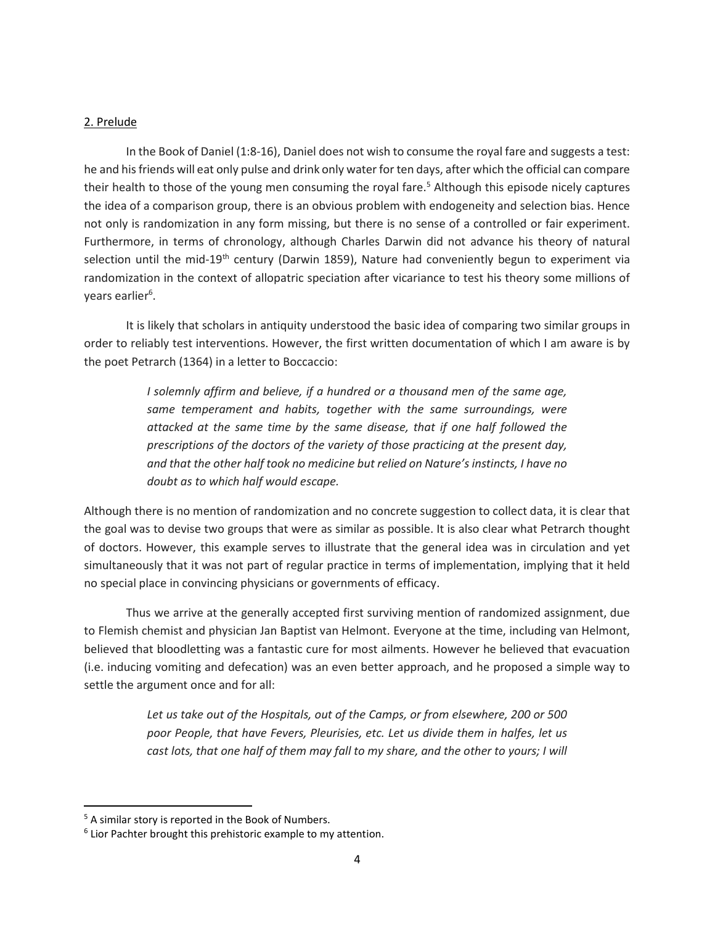## 2. Prelude

 In the Book of Daniel (1:8-16), Daniel does not wish to consume the royal fare and suggests a test: he and his friends will eat only pulse and drink only water for ten days, after which the official can compare their health to those of the young men consuming the royal fare.<sup>5</sup> Although this episode nicely captures the idea of a comparison group, there is an obvious problem with endogeneity and selection bias. Hence not only is randomization in any form missing, but there is no sense of a controlled or fair experiment. Furthermore, in terms of chronology, although Charles Darwin did not advance his theory of natural selection until the mid-19<sup>th</sup> century (Darwin 1859), Nature had conveniently begun to experiment via randomization in the context of allopatric speciation after vicariance to test his theory some millions of years earlier<sup>6</sup>.

 It is likely that scholars in antiquity understood the basic idea of comparing two similar groups in order to reliably test interventions. However, the first written documentation of which I am aware is by the poet Petrarch (1364) in a letter to Boccaccio:

> I solemnly affirm and believe, if a hundred or a thousand men of the same age, same temperament and habits, together with the same surroundings, were attacked at the same time by the same disease, that if one half followed the prescriptions of the doctors of the variety of those practicing at the present day, and that the other half took no medicine but relied on Nature's instincts, I have no doubt as to which half would escape.

Although there is no mention of randomization and no concrete suggestion to collect data, it is clear that the goal was to devise two groups that were as similar as possible. It is also clear what Petrarch thought of doctors. However, this example serves to illustrate that the general idea was in circulation and yet simultaneously that it was not part of regular practice in terms of implementation, implying that it held no special place in convincing physicians or governments of efficacy.

 Thus we arrive at the generally accepted first surviving mention of randomized assignment, due to Flemish chemist and physician Jan Baptist van Helmont. Everyone at the time, including van Helmont, believed that bloodletting was a fantastic cure for most ailments. However he believed that evacuation (i.e. inducing vomiting and defecation) was an even better approach, and he proposed a simple way to settle the argument once and for all:

> Let us take out of the Hospitals, out of the Camps, or from elsewhere, 200 or 500 poor People, that have Fevers, Pleurisies, etc. Let us divide them in halfes, let us cast lots, that one half of them may fall to my share, and the other to yours; I will

 $\overline{a}$ 

<sup>&</sup>lt;sup>5</sup> A similar story is reported in the Book of Numbers.

<sup>&</sup>lt;sup>6</sup> Lior Pachter brought this prehistoric example to my attention.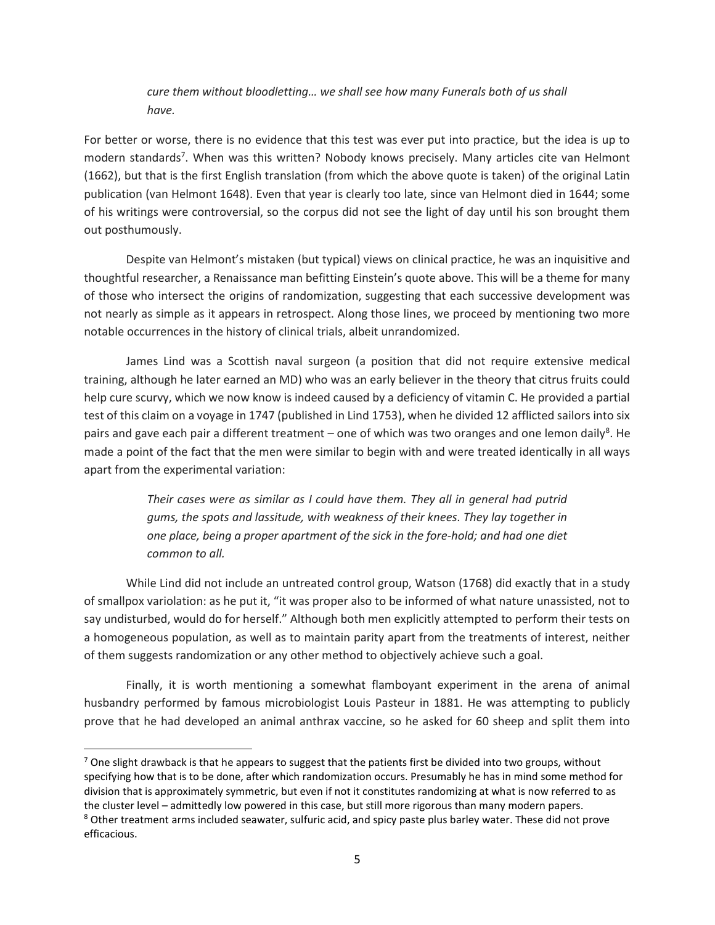# cure them without bloodletting… we shall see how many Funerals both of us shall have.

For better or worse, there is no evidence that this test was ever put into practice, but the idea is up to modern standards<sup>7</sup>. When was this written? Nobody knows precisely. Many articles cite van Helmont (1662), but that is the first English translation (from which the above quote is taken) of the original Latin publication (van Helmont 1648). Even that year is clearly too late, since van Helmont died in 1644; some of his writings were controversial, so the corpus did not see the light of day until his son brought them out posthumously.

 Despite van Helmont's mistaken (but typical) views on clinical practice, he was an inquisitive and thoughtful researcher, a Renaissance man befitting Einstein's quote above. This will be a theme for many of those who intersect the origins of randomization, suggesting that each successive development was not nearly as simple as it appears in retrospect. Along those lines, we proceed by mentioning two more notable occurrences in the history of clinical trials, albeit unrandomized.

 James Lind was a Scottish naval surgeon (a position that did not require extensive medical training, although he later earned an MD) who was an early believer in the theory that citrus fruits could help cure scurvy, which we now know is indeed caused by a deficiency of vitamin C. He provided a partial test of this claim on a voyage in 1747 (published in Lind 1753), when he divided 12 afflicted sailors into six pairs and gave each pair a different treatment – one of which was two oranges and one lemon daily<sup>8</sup>. He made a point of the fact that the men were similar to begin with and were treated identically in all ways apart from the experimental variation:

> Their cases were as similar as I could have them. They all in general had putrid gums, the spots and lassitude, with weakness of their knees. They lay together in one place, being a proper apartment of the sick in the fore-hold; and had one diet common to all.

While Lind did not include an untreated control group, Watson (1768) did exactly that in a study of smallpox variolation: as he put it, "it was proper also to be informed of what nature unassisted, not to say undisturbed, would do for herself." Although both men explicitly attempted to perform their tests on a homogeneous population, as well as to maintain parity apart from the treatments of interest, neither of them suggests randomization or any other method to objectively achieve such a goal.

Finally, it is worth mentioning a somewhat flamboyant experiment in the arena of animal husbandry performed by famous microbiologist Louis Pasteur in 1881. He was attempting to publicly prove that he had developed an animal anthrax vaccine, so he asked for 60 sheep and split them into

 $^7$  One slight drawback is that he appears to suggest that the patients first be divided into two groups, without specifying how that is to be done, after which randomization occurs. Presumably he has in mind some method for division that is approximately symmetric, but even if not it constitutes randomizing at what is now referred to as the cluster level – admittedly low powered in this case, but still more rigorous than many modern papers. <sup>8</sup> Other treatment arms included seawater, sulfuric acid, and spicy paste plus barley water. These did not prove efficacious.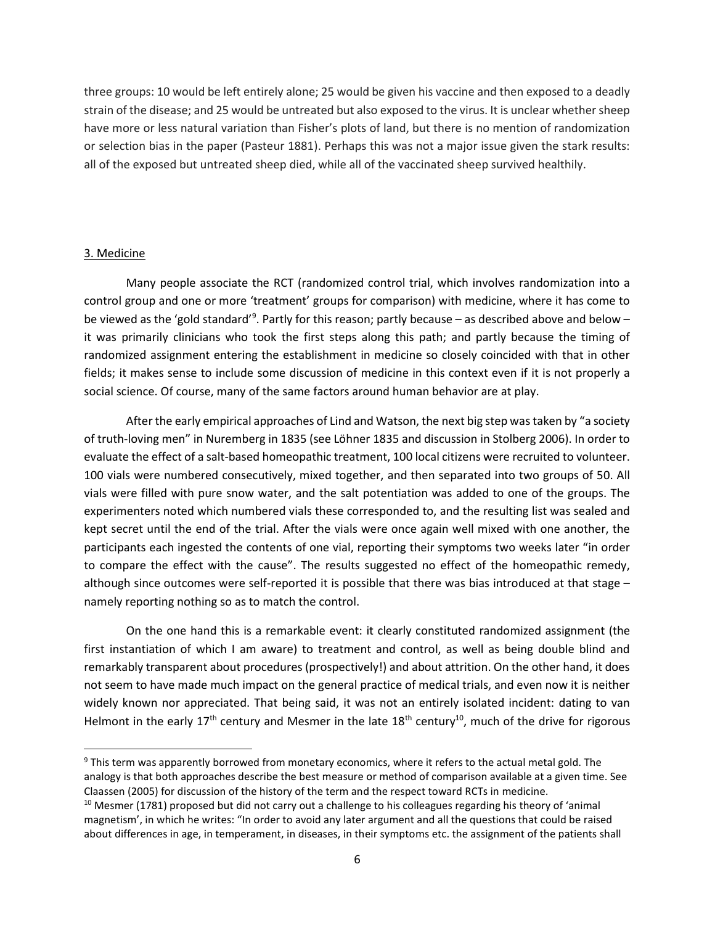three groups: 10 would be left entirely alone; 25 would be given his vaccine and then exposed to a deadly strain of the disease; and 25 would be untreated but also exposed to the virus. It is unclear whether sheep have more or less natural variation than Fisher's plots of land, but there is no mention of randomization or selection bias in the paper (Pasteur 1881). Perhaps this was not a major issue given the stark results: all of the exposed but untreated sheep died, while all of the vaccinated sheep survived healthily.

## 3. Medicine

 Many people associate the RCT (randomized control trial, which involves randomization into a control group and one or more 'treatment' groups for comparison) with medicine, where it has come to be viewed as the 'gold standard'<sup>9</sup>. Partly for this reason; partly because – as described above and below – it was primarily clinicians who took the first steps along this path; and partly because the timing of randomized assignment entering the establishment in medicine so closely coincided with that in other fields; it makes sense to include some discussion of medicine in this context even if it is not properly a social science. Of course, many of the same factors around human behavior are at play.

After the early empirical approaches of Lind and Watson, the next big step was taken by "a society of truth-loving men" in Nuremberg in 1835 (see Löhner 1835 and discussion in Stolberg 2006). In order to evaluate the effect of a salt-based homeopathic treatment, 100 local citizens were recruited to volunteer. 100 vials were numbered consecutively, mixed together, and then separated into two groups of 50. All vials were filled with pure snow water, and the salt potentiation was added to one of the groups. The experimenters noted which numbered vials these corresponded to, and the resulting list was sealed and kept secret until the end of the trial. After the vials were once again well mixed with one another, the participants each ingested the contents of one vial, reporting their symptoms two weeks later "in order to compare the effect with the cause". The results suggested no effect of the homeopathic remedy, although since outcomes were self-reported it is possible that there was bias introduced at that stage – namely reporting nothing so as to match the control.

On the one hand this is a remarkable event: it clearly constituted randomized assignment (the first instantiation of which I am aware) to treatment and control, as well as being double blind and remarkably transparent about procedures (prospectively!) and about attrition. On the other hand, it does not seem to have made much impact on the general practice of medical trials, and even now it is neither widely known nor appreciated. That being said, it was not an entirely isolated incident: dating to van Helmont in the early  $17<sup>th</sup>$  century and Mesmer in the late  $18<sup>th</sup>$  century<sup>10</sup>, much of the drive for rigorous

<sup>&</sup>lt;sup>9</sup> This term was apparently borrowed from monetary economics, where it refers to the actual metal gold. The analogy is that both approaches describe the best measure or method of comparison available at a given time. See Claassen (2005) for discussion of the history of the term and the respect toward RCTs in medicine.

 $10$  Mesmer (1781) proposed but did not carry out a challenge to his colleagues regarding his theory of 'animal magnetism', in which he writes: "In order to avoid any later argument and all the questions that could be raised about differences in age, in temperament, in diseases, in their symptoms etc. the assignment of the patients shall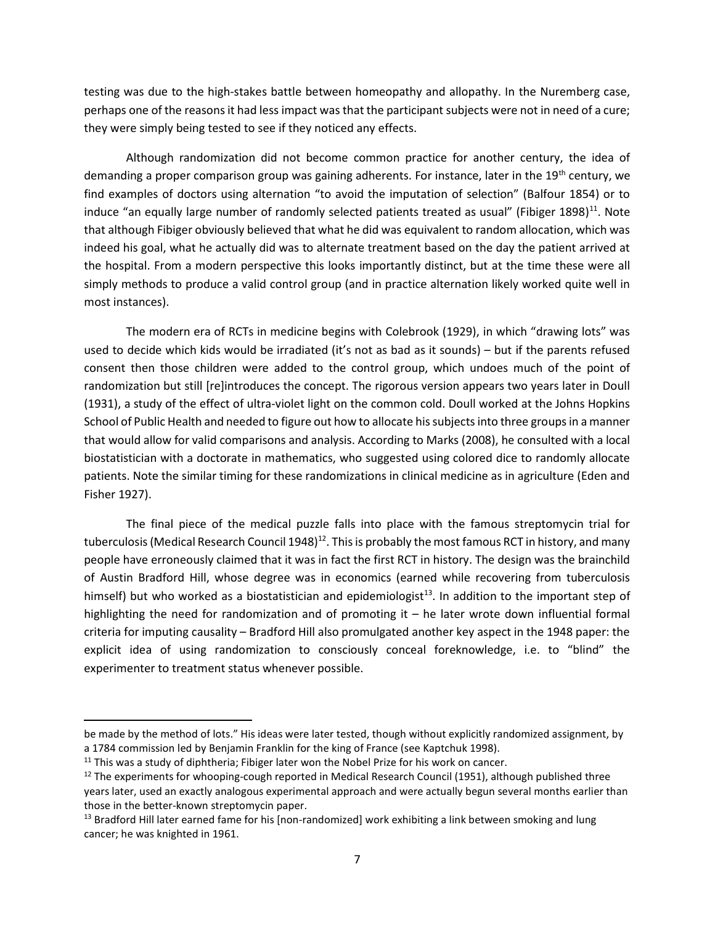testing was due to the high-stakes battle between homeopathy and allopathy. In the Nuremberg case, perhaps one of the reasons it had less impact was that the participant subjects were not in need of a cure; they were simply being tested to see if they noticed any effects.

Although randomization did not become common practice for another century, the idea of demanding a proper comparison group was gaining adherents. For instance, later in the 19<sup>th</sup> century, we find examples of doctors using alternation "to avoid the imputation of selection" (Balfour 1854) or to induce "an equally large number of randomly selected patients treated as usual" (Fibiger 1898)<sup>11</sup>. Note that although Fibiger obviously believed that what he did was equivalent to random allocation, which was indeed his goal, what he actually did was to alternate treatment based on the day the patient arrived at the hospital. From a modern perspective this looks importantly distinct, but at the time these were all simply methods to produce a valid control group (and in practice alternation likely worked quite well in most instances).

 The modern era of RCTs in medicine begins with Colebrook (1929), in which "drawing lots" was used to decide which kids would be irradiated (it's not as bad as it sounds) – but if the parents refused consent then those children were added to the control group, which undoes much of the point of randomization but still [re]introduces the concept. The rigorous version appears two years later in Doull (1931), a study of the effect of ultra-violet light on the common cold. Doull worked at the Johns Hopkins School of Public Health and needed to figure out how to allocate his subjects into three groups in a manner that would allow for valid comparisons and analysis. According to Marks (2008), he consulted with a local biostatistician with a doctorate in mathematics, who suggested using colored dice to randomly allocate patients. Note the similar timing for these randomizations in clinical medicine as in agriculture (Eden and Fisher 1927).

 The final piece of the medical puzzle falls into place with the famous streptomycin trial for tuberculosis (Medical Research Council 1948)<sup>12</sup>. This is probably the most famous RCT in history, and many people have erroneously claimed that it was in fact the first RCT in history. The design was the brainchild of Austin Bradford Hill, whose degree was in economics (earned while recovering from tuberculosis himself) but who worked as a biostatistician and epidemiologist<sup>13</sup>. In addition to the important step of highlighting the need for randomization and of promoting it – he later wrote down influential formal criteria for imputing causality – Bradford Hill also promulgated another key aspect in the 1948 paper: the explicit idea of using randomization to consciously conceal foreknowledge, i.e. to "blind" the experimenter to treatment status whenever possible.

be made by the method of lots." His ideas were later tested, though without explicitly randomized assignment, by a 1784 commission led by Benjamin Franklin for the king of France (see Kaptchuk 1998).

 $11$  This was a study of diphtheria; Fibiger later won the Nobel Prize for his work on cancer.

<sup>&</sup>lt;sup>12</sup> The experiments for whooping-cough reported in Medical Research Council (1951), although published three years later, used an exactly analogous experimental approach and were actually begun several months earlier than those in the better-known streptomycin paper.

<sup>&</sup>lt;sup>13</sup> Bradford Hill later earned fame for his [non-randomized] work exhibiting a link between smoking and lung cancer; he was knighted in 1961.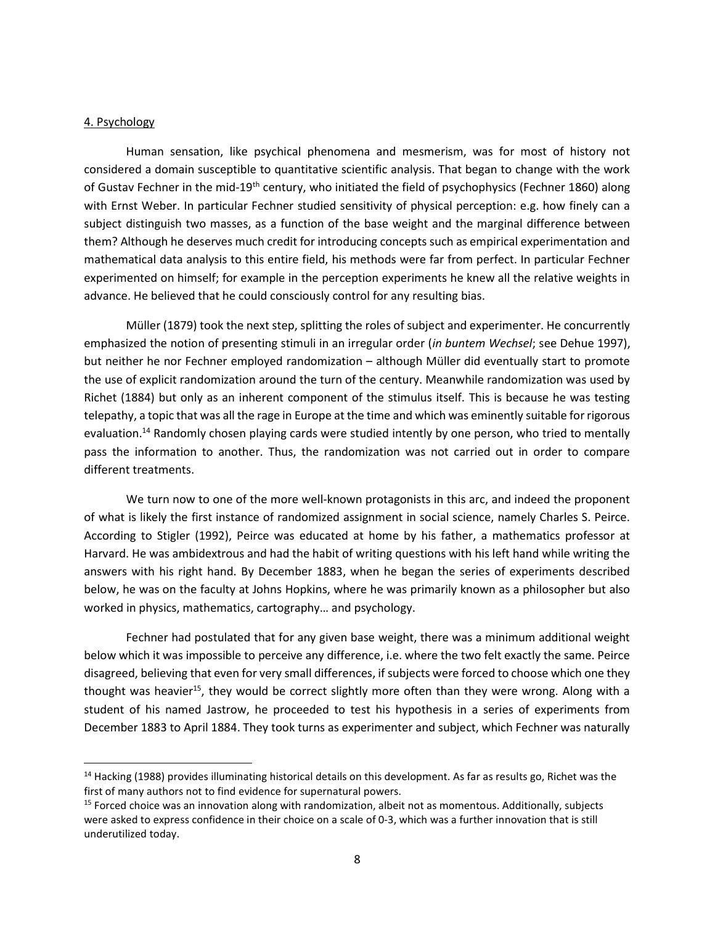### 4. Psychology

 $\overline{a}$ 

 Human sensation, like psychical phenomena and mesmerism, was for most of history not considered a domain susceptible to quantitative scientific analysis. That began to change with the work of Gustav Fechner in the mid-19<sup>th</sup> century, who initiated the field of psychophysics (Fechner 1860) along with Ernst Weber. In particular Fechner studied sensitivity of physical perception: e.g. how finely can a subject distinguish two masses, as a function of the base weight and the marginal difference between them? Although he deserves much credit for introducing concepts such as empirical experimentation and mathematical data analysis to this entire field, his methods were far from perfect. In particular Fechner experimented on himself; for example in the perception experiments he knew all the relative weights in advance. He believed that he could consciously control for any resulting bias.

 Müller (1879) took the next step, splitting the roles of subject and experimenter. He concurrently emphasized the notion of presenting stimuli in an irregular order (in buntem Wechsel; see Dehue 1997), but neither he nor Fechner employed randomization – although Müller did eventually start to promote the use of explicit randomization around the turn of the century. Meanwhile randomization was used by Richet (1884) but only as an inherent component of the stimulus itself. This is because he was testing telepathy, a topic that was all the rage in Europe at the time and which was eminently suitable for rigorous evaluation.<sup>14</sup> Randomly chosen playing cards were studied intently by one person, who tried to mentally pass the information to another. Thus, the randomization was not carried out in order to compare different treatments.

 We turn now to one of the more well-known protagonists in this arc, and indeed the proponent of what is likely the first instance of randomized assignment in social science, namely Charles S. Peirce. According to Stigler (1992), Peirce was educated at home by his father, a mathematics professor at Harvard. He was ambidextrous and had the habit of writing questions with his left hand while writing the answers with his right hand. By December 1883, when he began the series of experiments described below, he was on the faculty at Johns Hopkins, where he was primarily known as a philosopher but also worked in physics, mathematics, cartography… and psychology.

 Fechner had postulated that for any given base weight, there was a minimum additional weight below which it was impossible to perceive any difference, i.e. where the two felt exactly the same. Peirce disagreed, believing that even for very small differences, if subjects were forced to choose which one they thought was heavier<sup>15</sup>, they would be correct slightly more often than they were wrong. Along with a student of his named Jastrow, he proceeded to test his hypothesis in a series of experiments from December 1883 to April 1884. They took turns as experimenter and subject, which Fechner was naturally

<sup>&</sup>lt;sup>14</sup> Hacking (1988) provides illuminating historical details on this development. As far as results go, Richet was the first of many authors not to find evidence for supernatural powers.

<sup>&</sup>lt;sup>15</sup> Forced choice was an innovation along with randomization, albeit not as momentous. Additionally, subjects were asked to express confidence in their choice on a scale of 0-3, which was a further innovation that is still underutilized today.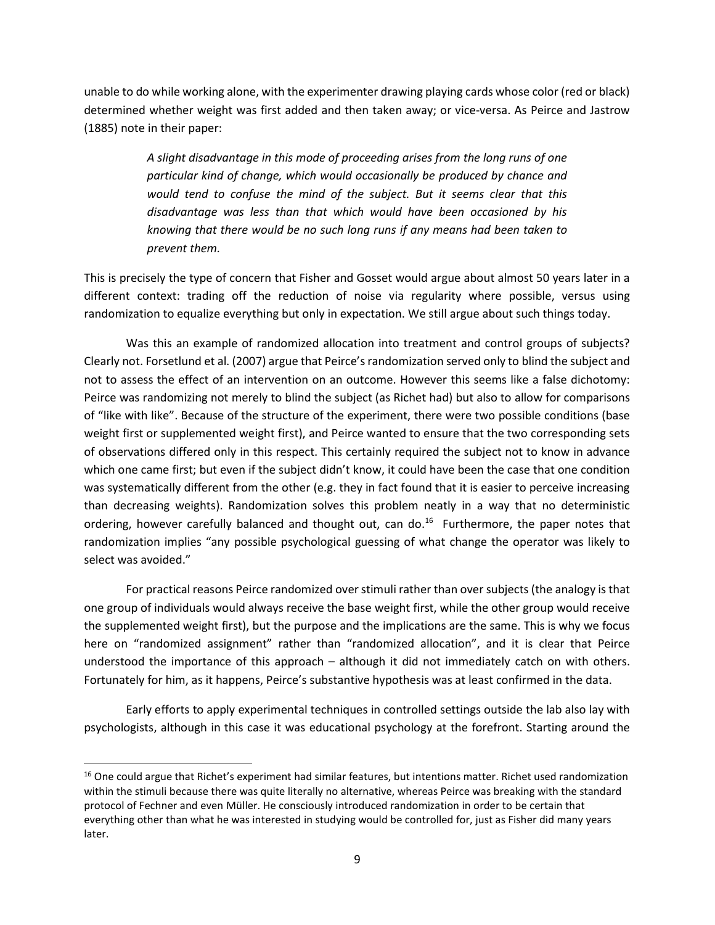unable to do while working alone, with the experimenter drawing playing cards whose color (red or black) determined whether weight was first added and then taken away; or vice-versa. As Peirce and Jastrow (1885) note in their paper:

> A slight disadvantage in this mode of proceeding arises from the long runs of one particular kind of change, which would occasionally be produced by chance and would tend to confuse the mind of the subject. But it seems clear that this disadvantage was less than that which would have been occasioned by his knowing that there would be no such long runs if any means had been taken to prevent them.

This is precisely the type of concern that Fisher and Gosset would argue about almost 50 years later in a different context: trading off the reduction of noise via regularity where possible, versus using randomization to equalize everything but only in expectation. We still argue about such things today.

 Was this an example of randomized allocation into treatment and control groups of subjects? Clearly not. Forsetlund et al. (2007) argue that Peirce's randomization served only to blind the subject and not to assess the effect of an intervention on an outcome. However this seems like a false dichotomy: Peirce was randomizing not merely to blind the subject (as Richet had) but also to allow for comparisons of "like with like". Because of the structure of the experiment, there were two possible conditions (base weight first or supplemented weight first), and Peirce wanted to ensure that the two corresponding sets of observations differed only in this respect. This certainly required the subject not to know in advance which one came first; but even if the subject didn't know, it could have been the case that one condition was systematically different from the other (e.g. they in fact found that it is easier to perceive increasing than decreasing weights). Randomization solves this problem neatly in a way that no deterministic ordering, however carefully balanced and thought out, can do.<sup>16</sup> Furthermore, the paper notes that randomization implies "any possible psychological guessing of what change the operator was likely to select was avoided."

For practical reasons Peirce randomized over stimuli rather than over subjects (the analogy is that one group of individuals would always receive the base weight first, while the other group would receive the supplemented weight first), but the purpose and the implications are the same. This is why we focus here on "randomized assignment" rather than "randomized allocation", and it is clear that Peirce understood the importance of this approach – although it did not immediately catch on with others. Fortunately for him, as it happens, Peirce's substantive hypothesis was at least confirmed in the data.

Early efforts to apply experimental techniques in controlled settings outside the lab also lay with psychologists, although in this case it was educational psychology at the forefront. Starting around the

 $\overline{a}$ 

<sup>&</sup>lt;sup>16</sup> One could argue that Richet's experiment had similar features, but intentions matter. Richet used randomization within the stimuli because there was quite literally no alternative, whereas Peirce was breaking with the standard protocol of Fechner and even Müller. He consciously introduced randomization in order to be certain that everything other than what he was interested in studying would be controlled for, just as Fisher did many years later.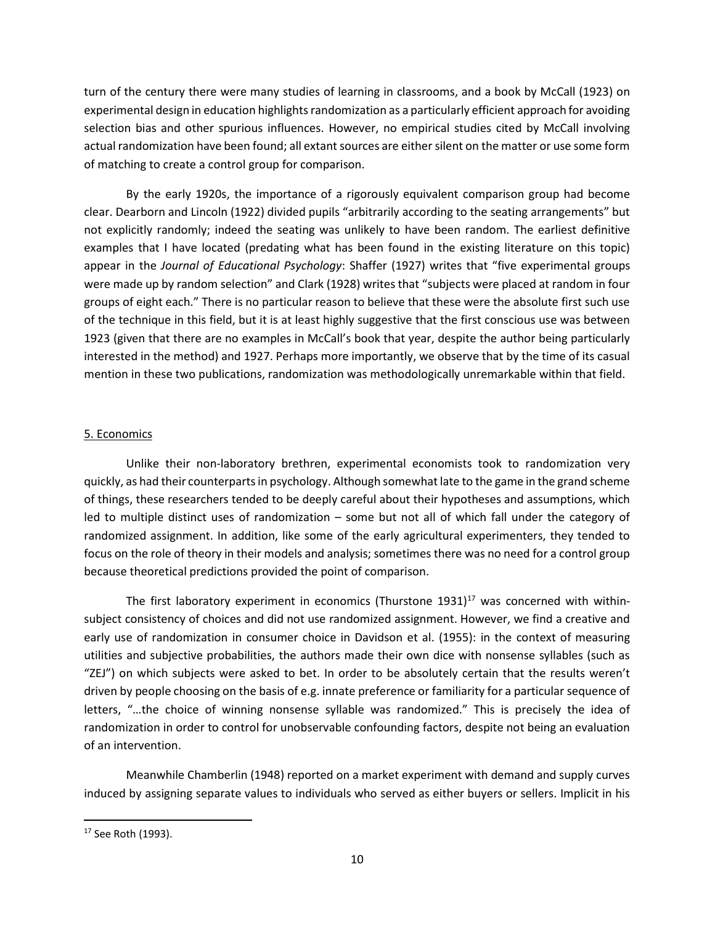turn of the century there were many studies of learning in classrooms, and a book by McCall (1923) on experimental design in education highlights randomization as a particularly efficient approach for avoiding selection bias and other spurious influences. However, no empirical studies cited by McCall involving actual randomization have been found; all extant sources are either silent on the matter or use some form of matching to create a control group for comparison.

By the early 1920s, the importance of a rigorously equivalent comparison group had become clear. Dearborn and Lincoln (1922) divided pupils "arbitrarily according to the seating arrangements" but not explicitly randomly; indeed the seating was unlikely to have been random. The earliest definitive examples that I have located (predating what has been found in the existing literature on this topic) appear in the Journal of Educational Psychology: Shaffer (1927) writes that "five experimental groups were made up by random selection" and Clark (1928) writes that "subjects were placed at random in four groups of eight each." There is no particular reason to believe that these were the absolute first such use of the technique in this field, but it is at least highly suggestive that the first conscious use was between 1923 (given that there are no examples in McCall's book that year, despite the author being particularly interested in the method) and 1927. Perhaps more importantly, we observe that by the time of its casual mention in these two publications, randomization was methodologically unremarkable within that field.

# 5. Economics

Unlike their non-laboratory brethren, experimental economists took to randomization very quickly, as had their counterparts in psychology. Although somewhat late to the game in the grand scheme of things, these researchers tended to be deeply careful about their hypotheses and assumptions, which led to multiple distinct uses of randomization – some but not all of which fall under the category of randomized assignment. In addition, like some of the early agricultural experimenters, they tended to focus on the role of theory in their models and analysis; sometimes there was no need for a control group because theoretical predictions provided the point of comparison.

The first laboratory experiment in economics (Thurstone 1931) $17$  was concerned with withinsubject consistency of choices and did not use randomized assignment. However, we find a creative and early use of randomization in consumer choice in Davidson et al. (1955): in the context of measuring utilities and subjective probabilities, the authors made their own dice with nonsense syllables (such as "ZEJ") on which subjects were asked to bet. In order to be absolutely certain that the results weren't driven by people choosing on the basis of e.g. innate preference or familiarity for a particular sequence of letters, "…the choice of winning nonsense syllable was randomized." This is precisely the idea of randomization in order to control for unobservable confounding factors, despite not being an evaluation of an intervention.

 Meanwhile Chamberlin (1948) reported on a market experiment with demand and supply curves induced by assigning separate values to individuals who served as either buyers or sellers. Implicit in his

<sup>&</sup>lt;sup>17</sup> See Roth (1993).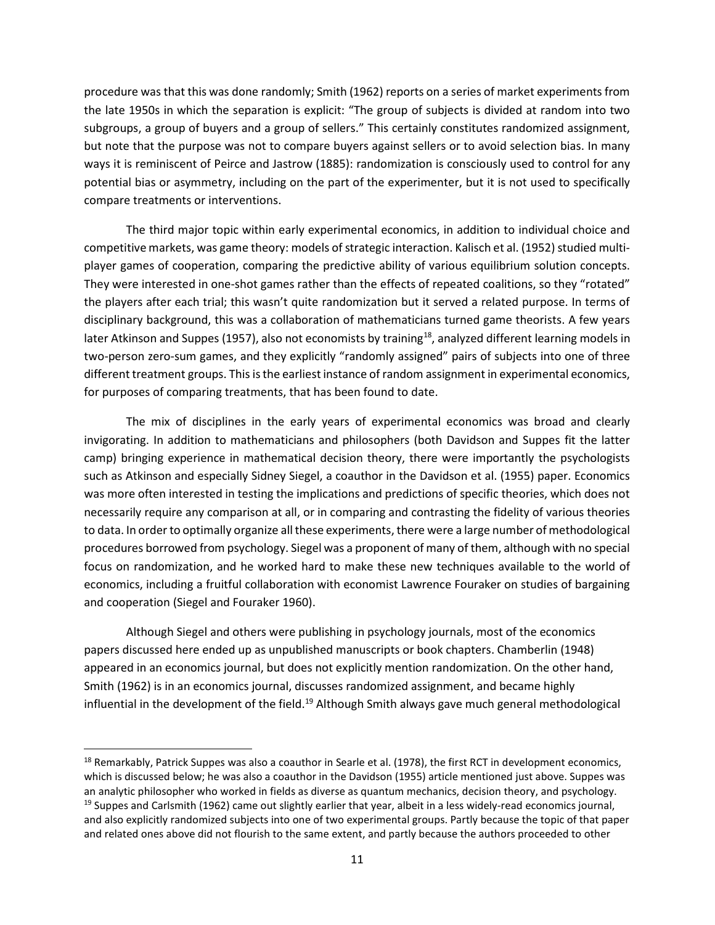procedure was that this was done randomly; Smith (1962) reports on a series of market experiments from the late 1950s in which the separation is explicit: "The group of subjects is divided at random into two subgroups, a group of buyers and a group of sellers." This certainly constitutes randomized assignment, but note that the purpose was not to compare buyers against sellers or to avoid selection bias. In many ways it is reminiscent of Peirce and Jastrow (1885): randomization is consciously used to control for any potential bias or asymmetry, including on the part of the experimenter, but it is not used to specifically compare treatments or interventions.

 The third major topic within early experimental economics, in addition to individual choice and competitive markets, was game theory: models of strategic interaction. Kalisch et al. (1952) studied multiplayer games of cooperation, comparing the predictive ability of various equilibrium solution concepts. They were interested in one-shot games rather than the effects of repeated coalitions, so they "rotated" the players after each trial; this wasn't quite randomization but it served a related purpose. In terms of disciplinary background, this was a collaboration of mathematicians turned game theorists. A few years later Atkinson and Suppes (1957), also not economists by training<sup>18</sup>, analyzed different learning models in two-person zero-sum games, and they explicitly "randomly assigned" pairs of subjects into one of three different treatment groups. This is the earliest instance of random assignment in experimental economics, for purposes of comparing treatments, that has been found to date.

 The mix of disciplines in the early years of experimental economics was broad and clearly invigorating. In addition to mathematicians and philosophers (both Davidson and Suppes fit the latter camp) bringing experience in mathematical decision theory, there were importantly the psychologists such as Atkinson and especially Sidney Siegel, a coauthor in the Davidson et al. (1955) paper. Economics was more often interested in testing the implications and predictions of specific theories, which does not necessarily require any comparison at all, or in comparing and contrasting the fidelity of various theories to data. In order to optimally organize all these experiments, there were a large number of methodological procedures borrowed from psychology. Siegel was a proponent of many of them, although with no special focus on randomization, and he worked hard to make these new techniques available to the world of economics, including a fruitful collaboration with economist Lawrence Fouraker on studies of bargaining and cooperation (Siegel and Fouraker 1960).

 Although Siegel and others were publishing in psychology journals, most of the economics papers discussed here ended up as unpublished manuscripts or book chapters. Chamberlin (1948) appeared in an economics journal, but does not explicitly mention randomization. On the other hand, Smith (1962) is in an economics journal, discusses randomized assignment, and became highly influential in the development of the field.<sup>19</sup> Although Smith always gave much general methodological

 $18$  Remarkably, Patrick Suppes was also a coauthor in Searle et al. (1978), the first RCT in development economics, which is discussed below; he was also a coauthor in the Davidson (1955) article mentioned just above. Suppes was an analytic philosopher who worked in fields as diverse as quantum mechanics, decision theory, and psychology.  $19$  Suppes and Carlsmith (1962) came out slightly earlier that year, albeit in a less widely-read economics journal, and also explicitly randomized subjects into one of two experimental groups. Partly because the topic of that paper and related ones above did not flourish to the same extent, and partly because the authors proceeded to other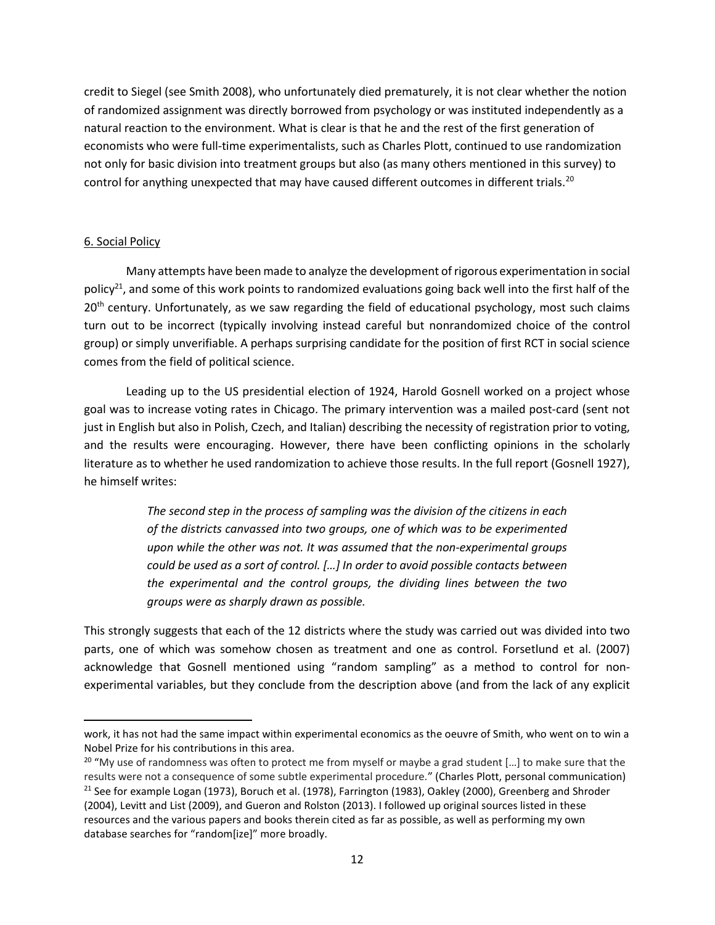credit to Siegel (see Smith 2008), who unfortunately died prematurely, it is not clear whether the notion of randomized assignment was directly borrowed from psychology or was instituted independently as a natural reaction to the environment. What is clear is that he and the rest of the first generation of economists who were full-time experimentalists, such as Charles Plott, continued to use randomization not only for basic division into treatment groups but also (as many others mentioned in this survey) to control for anything unexpected that may have caused different outcomes in different trials.<sup>20</sup>

## 6. Social Policy

 Many attempts have been made to analyze the development of rigorous experimentation in social policy<sup>21</sup>, and some of this work points to randomized evaluations going back well into the first half of the 20<sup>th</sup> century. Unfortunately, as we saw regarding the field of educational psychology, most such claims turn out to be incorrect (typically involving instead careful but nonrandomized choice of the control group) or simply unverifiable. A perhaps surprising candidate for the position of first RCT in social science comes from the field of political science.

Leading up to the US presidential election of 1924, Harold Gosnell worked on a project whose goal was to increase voting rates in Chicago. The primary intervention was a mailed post-card (sent not just in English but also in Polish, Czech, and Italian) describing the necessity of registration prior to voting, and the results were encouraging. However, there have been conflicting opinions in the scholarly literature as to whether he used randomization to achieve those results. In the full report (Gosnell 1927), he himself writes:

> The second step in the process of sampling was the division of the citizens in each of the districts canvassed into two groups, one of which was to be experimented upon while the other was not. It was assumed that the non-experimental groups could be used as a sort of control. […] In order to avoid possible contacts between the experimental and the control groups, the dividing lines between the two groups were as sharply drawn as possible.

This strongly suggests that each of the 12 districts where the study was carried out was divided into two parts, one of which was somehow chosen as treatment and one as control. Forsetlund et al. (2007) acknowledge that Gosnell mentioned using "random sampling" as a method to control for nonexperimental variables, but they conclude from the description above (and from the lack of any explicit

work, it has not had the same impact within experimental economics as the oeuvre of Smith, who went on to win a Nobel Prize for his contributions in this area.

<sup>&</sup>lt;sup>20</sup> "My use of randomness was often to protect me from myself or maybe a grad student [...] to make sure that the results were not a consequence of some subtle experimental procedure." (Charles Plott, personal communication) <sup>21</sup> See for example Logan (1973), Boruch et al. (1978), Farrington (1983), Oakley (2000), Greenberg and Shroder (2004), Levitt and List (2009), and Gueron and Rolston (2013). I followed up original sources listed in these resources and the various papers and books therein cited as far as possible, as well as performing my own database searches for "random[ize]" more broadly.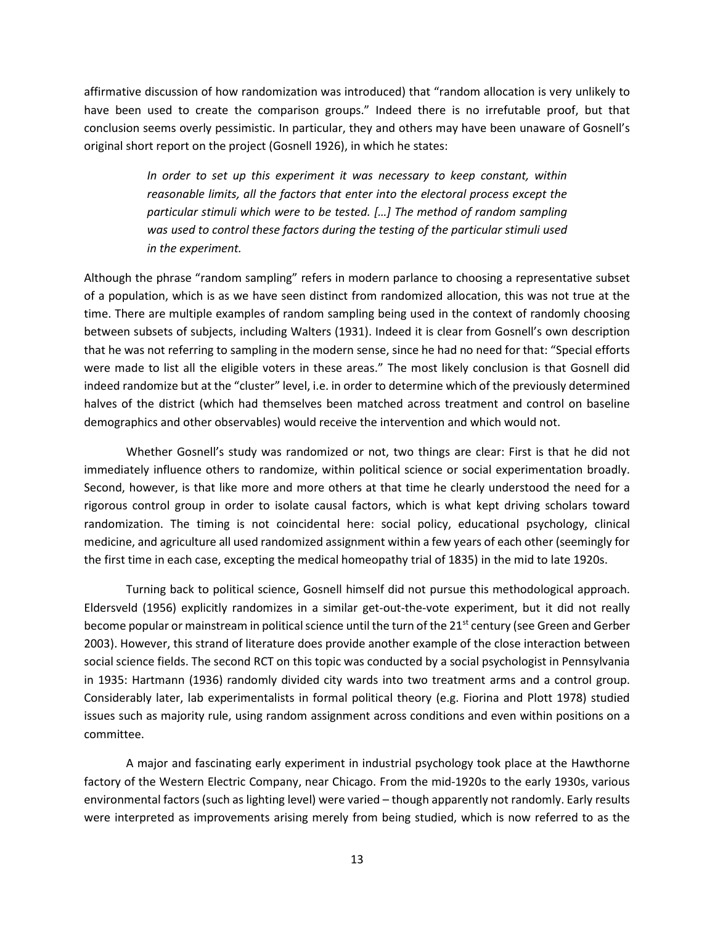affirmative discussion of how randomization was introduced) that "random allocation is very unlikely to have been used to create the comparison groups." Indeed there is no irrefutable proof, but that conclusion seems overly pessimistic. In particular, they and others may have been unaware of Gosnell's original short report on the project (Gosnell 1926), in which he states:

> In order to set up this experiment it was necessary to keep constant, within reasonable limits, all the factors that enter into the electoral process except the particular stimuli which were to be tested. […] The method of random sampling was used to control these factors during the testing of the particular stimuli used in the experiment.

Although the phrase "random sampling" refers in modern parlance to choosing a representative subset of a population, which is as we have seen distinct from randomized allocation, this was not true at the time. There are multiple examples of random sampling being used in the context of randomly choosing between subsets of subjects, including Walters (1931). Indeed it is clear from Gosnell's own description that he was not referring to sampling in the modern sense, since he had no need for that: "Special efforts were made to list all the eligible voters in these areas." The most likely conclusion is that Gosnell did indeed randomize but at the "cluster" level, i.e. in order to determine which of the previously determined halves of the district (which had themselves been matched across treatment and control on baseline demographics and other observables) would receive the intervention and which would not.

 Whether Gosnell's study was randomized or not, two things are clear: First is that he did not immediately influence others to randomize, within political science or social experimentation broadly. Second, however, is that like more and more others at that time he clearly understood the need for a rigorous control group in order to isolate causal factors, which is what kept driving scholars toward randomization. The timing is not coincidental here: social policy, educational psychology, clinical medicine, and agriculture all used randomized assignment within a few years of each other (seemingly for the first time in each case, excepting the medical homeopathy trial of 1835) in the mid to late 1920s.

 Turning back to political science, Gosnell himself did not pursue this methodological approach. Eldersveld (1956) explicitly randomizes in a similar get-out-the-vote experiment, but it did not really become popular or mainstream in political science until the turn of the 21<sup>st</sup> century (see Green and Gerber 2003). However, this strand of literature does provide another example of the close interaction between social science fields. The second RCT on this topic was conducted by a social psychologist in Pennsylvania in 1935: Hartmann (1936) randomly divided city wards into two treatment arms and a control group. Considerably later, lab experimentalists in formal political theory (e.g. Fiorina and Plott 1978) studied issues such as majority rule, using random assignment across conditions and even within positions on a committee.

 A major and fascinating early experiment in industrial psychology took place at the Hawthorne factory of the Western Electric Company, near Chicago. From the mid-1920s to the early 1930s, various environmental factors (such as lighting level) were varied – though apparently not randomly. Early results were interpreted as improvements arising merely from being studied, which is now referred to as the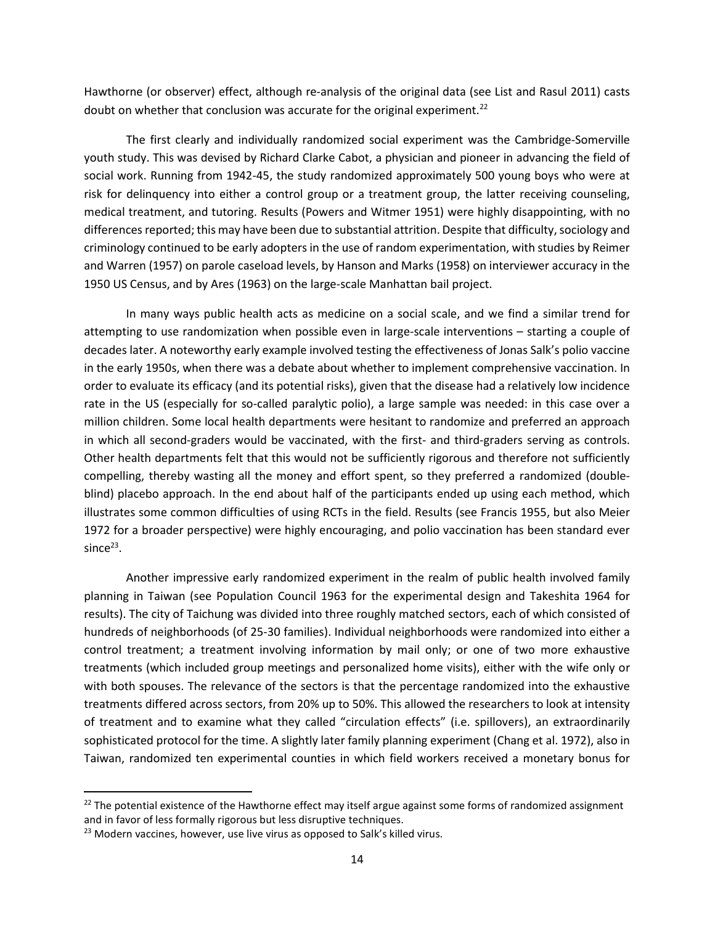Hawthorne (or observer) effect, although re-analysis of the original data (see List and Rasul 2011) casts doubt on whether that conclusion was accurate for the original experiment.<sup>22</sup>

The first clearly and individually randomized social experiment was the Cambridge-Somerville youth study. This was devised by Richard Clarke Cabot, a physician and pioneer in advancing the field of social work. Running from 1942-45, the study randomized approximately 500 young boys who were at risk for delinquency into either a control group or a treatment group, the latter receiving counseling, medical treatment, and tutoring. Results (Powers and Witmer 1951) were highly disappointing, with no differences reported; this may have been due to substantial attrition. Despite that difficulty, sociology and criminology continued to be early adopters in the use of random experimentation, with studies by Reimer and Warren (1957) on parole caseload levels, by Hanson and Marks (1958) on interviewer accuracy in the 1950 US Census, and by Ares (1963) on the large-scale Manhattan bail project.

In many ways public health acts as medicine on a social scale, and we find a similar trend for attempting to use randomization when possible even in large-scale interventions – starting a couple of decades later. A noteworthy early example involved testing the effectiveness of Jonas Salk's polio vaccine in the early 1950s, when there was a debate about whether to implement comprehensive vaccination. In order to evaluate its efficacy (and its potential risks), given that the disease had a relatively low incidence rate in the US (especially for so-called paralytic polio), a large sample was needed: in this case over a million children. Some local health departments were hesitant to randomize and preferred an approach in which all second-graders would be vaccinated, with the first- and third-graders serving as controls. Other health departments felt that this would not be sufficiently rigorous and therefore not sufficiently compelling, thereby wasting all the money and effort spent, so they preferred a randomized (doubleblind) placebo approach. In the end about half of the participants ended up using each method, which illustrates some common difficulties of using RCTs in the field. Results (see Francis 1955, but also Meier 1972 for a broader perspective) were highly encouraging, and polio vaccination has been standard ever  $since<sup>23</sup>$ .

Another impressive early randomized experiment in the realm of public health involved family planning in Taiwan (see Population Council 1963 for the experimental design and Takeshita 1964 for results). The city of Taichung was divided into three roughly matched sectors, each of which consisted of hundreds of neighborhoods (of 25-30 families). Individual neighborhoods were randomized into either a control treatment; a treatment involving information by mail only; or one of two more exhaustive treatments (which included group meetings and personalized home visits), either with the wife only or with both spouses. The relevance of the sectors is that the percentage randomized into the exhaustive treatments differed across sectors, from 20% up to 50%. This allowed the researchers to look at intensity of treatment and to examine what they called "circulation effects" (i.e. spillovers), an extraordinarily sophisticated protocol for the time. A slightly later family planning experiment (Chang et al. 1972), also in Taiwan, randomized ten experimental counties in which field workers received a monetary bonus for

 $22$  The potential existence of the Hawthorne effect may itself argue against some forms of randomized assignment and in favor of less formally rigorous but less disruptive techniques.

 $23$  Modern vaccines, however, use live virus as opposed to Salk's killed virus.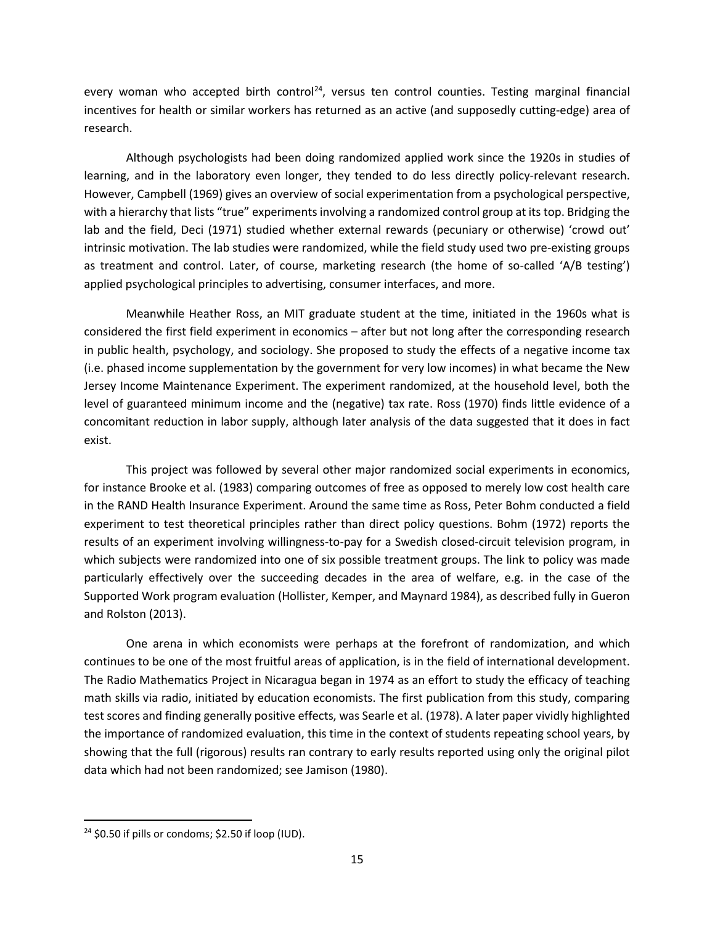every woman who accepted birth control<sup>24</sup>, versus ten control counties. Testing marginal financial incentives for health or similar workers has returned as an active (and supposedly cutting-edge) area of research.

Although psychologists had been doing randomized applied work since the 1920s in studies of learning, and in the laboratory even longer, they tended to do less directly policy-relevant research. However, Campbell (1969) gives an overview of social experimentation from a psychological perspective, with a hierarchy that lists "true" experiments involving a randomized control group at its top. Bridging the lab and the field, Deci (1971) studied whether external rewards (pecuniary or otherwise) 'crowd out' intrinsic motivation. The lab studies were randomized, while the field study used two pre-existing groups as treatment and control. Later, of course, marketing research (the home of so-called 'A/B testing') applied psychological principles to advertising, consumer interfaces, and more.

Meanwhile Heather Ross, an MIT graduate student at the time, initiated in the 1960s what is considered the first field experiment in economics – after but not long after the corresponding research in public health, psychology, and sociology. She proposed to study the effects of a negative income tax (i.e. phased income supplementation by the government for very low incomes) in what became the New Jersey Income Maintenance Experiment. The experiment randomized, at the household level, both the level of guaranteed minimum income and the (negative) tax rate. Ross (1970) finds little evidence of a concomitant reduction in labor supply, although later analysis of the data suggested that it does in fact exist.

This project was followed by several other major randomized social experiments in economics, for instance Brooke et al. (1983) comparing outcomes of free as opposed to merely low cost health care in the RAND Health Insurance Experiment. Around the same time as Ross, Peter Bohm conducted a field experiment to test theoretical principles rather than direct policy questions. Bohm (1972) reports the results of an experiment involving willingness-to-pay for a Swedish closed-circuit television program, in which subjects were randomized into one of six possible treatment groups. The link to policy was made particularly effectively over the succeeding decades in the area of welfare, e.g. in the case of the Supported Work program evaluation (Hollister, Kemper, and Maynard 1984), as described fully in Gueron and Rolston (2013).

One arena in which economists were perhaps at the forefront of randomization, and which continues to be one of the most fruitful areas of application, is in the field of international development. The Radio Mathematics Project in Nicaragua began in 1974 as an effort to study the efficacy of teaching math skills via radio, initiated by education economists. The first publication from this study, comparing test scores and finding generally positive effects, was Searle et al. (1978). A later paper vividly highlighted the importance of randomized evaluation, this time in the context of students repeating school years, by showing that the full (rigorous) results ran contrary to early results reported using only the original pilot data which had not been randomized; see Jamison (1980).

 $24$  \$0.50 if pills or condoms; \$2.50 if loop (IUD).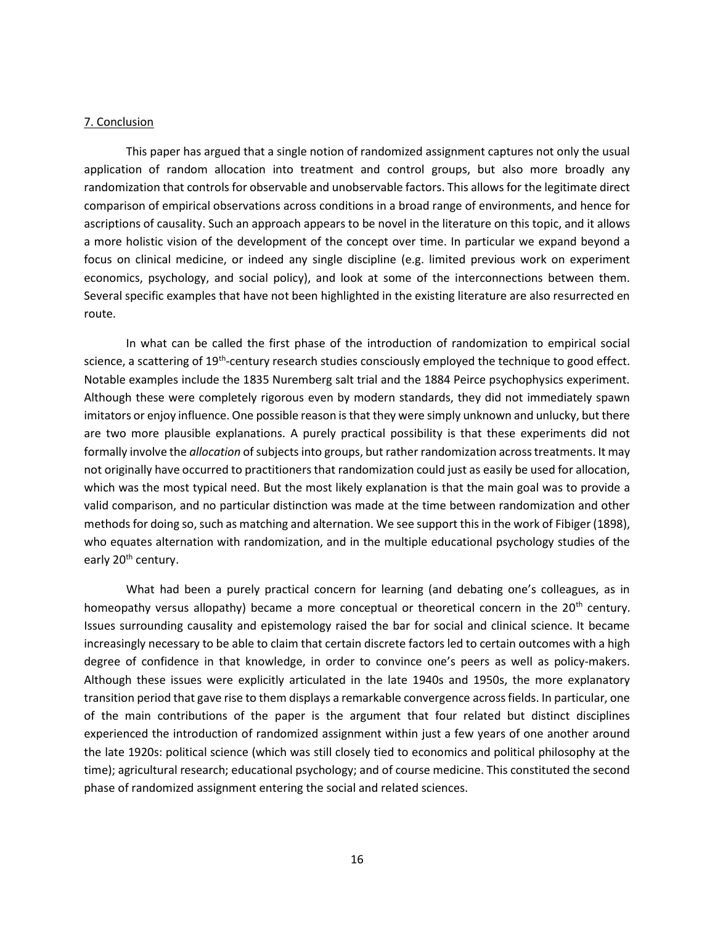## 7. Conclusion

 This paper has argued that a single notion of randomized assignment captures not only the usual application of random allocation into treatment and control groups, but also more broadly any randomization that controls for observable and unobservable factors. This allows for the legitimate direct comparison of empirical observations across conditions in a broad range of environments, and hence for ascriptions of causality. Such an approach appears to be novel in the literature on this topic, and it allows a more holistic vision of the development of the concept over time. In particular we expand beyond a focus on clinical medicine, or indeed any single discipline (e.g. limited previous work on experiment economics, psychology, and social policy), and look at some of the interconnections between them. Several specific examples that have not been highlighted in the existing literature are also resurrected en route.

In what can be called the first phase of the introduction of randomization to empirical social science, a scattering of 19<sup>th</sup>-century research studies consciously employed the technique to good effect. Notable examples include the 1835 Nuremberg salt trial and the 1884 Peirce psychophysics experiment. Although these were completely rigorous even by modern standards, they did not immediately spawn imitators or enjoy influence. One possible reason is that they were simply unknown and unlucky, but there are two more plausible explanations. A purely practical possibility is that these experiments did not formally involve the *allocation* of subjects into groups, but rather randomization across treatments. It may not originally have occurred to practitioners that randomization could just as easily be used for allocation, which was the most typical need. But the most likely explanation is that the main goal was to provide a valid comparison, and no particular distinction was made at the time between randomization and other methods for doing so, such as matching and alternation. We see support this in the work of Fibiger (1898), who equates alternation with randomization, and in the multiple educational psychology studies of the early 20<sup>th</sup> century.

What had been a purely practical concern for learning (and debating one's colleagues, as in homeopathy versus allopathy) became a more conceptual or theoretical concern in the 20<sup>th</sup> century. Issues surrounding causality and epistemology raised the bar for social and clinical science. It became increasingly necessary to be able to claim that certain discrete factors led to certain outcomes with a high degree of confidence in that knowledge, in order to convince one's peers as well as policy-makers. Although these issues were explicitly articulated in the late 1940s and 1950s, the more explanatory transition period that gave rise to them displays a remarkable convergence across fields. In particular, one of the main contributions of the paper is the argument that four related but distinct disciplines experienced the introduction of randomized assignment within just a few years of one another around the late 1920s: political science (which was still closely tied to economics and political philosophy at the time); agricultural research; educational psychology; and of course medicine. This constituted the second phase of randomized assignment entering the social and related sciences.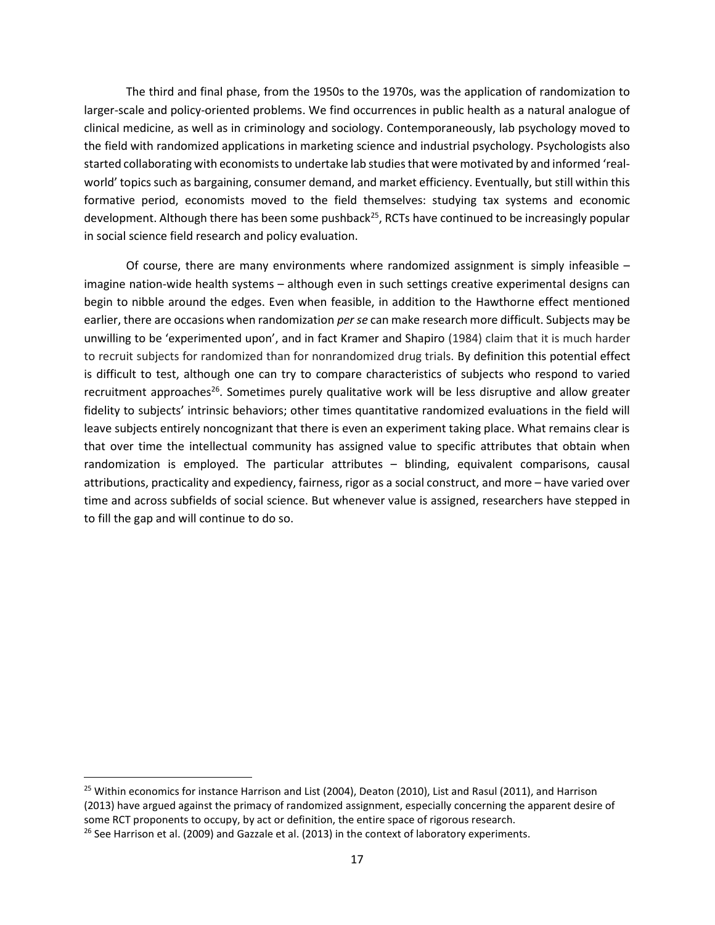The third and final phase, from the 1950s to the 1970s, was the application of randomization to larger-scale and policy-oriented problems. We find occurrences in public health as a natural analogue of clinical medicine, as well as in criminology and sociology. Contemporaneously, lab psychology moved to the field with randomized applications in marketing science and industrial psychology. Psychologists also started collaborating with economists to undertake lab studies that were motivated by and informed 'realworld' topics such as bargaining, consumer demand, and market efficiency. Eventually, but still within this formative period, economists moved to the field themselves: studying tax systems and economic development. Although there has been some pushback<sup>25</sup>, RCTs have continued to be increasingly popular in social science field research and policy evaluation.

Of course, there are many environments where randomized assignment is simply infeasible  $$ imagine nation-wide health systems – although even in such settings creative experimental designs can begin to nibble around the edges. Even when feasible, in addition to the Hawthorne effect mentioned earlier, there are occasions when randomization per se can make research more difficult. Subjects may be unwilling to be 'experimented upon', and in fact Kramer and Shapiro (1984) claim that it is much harder to recruit subjects for randomized than for nonrandomized drug trials. By definition this potential effect is difficult to test, although one can try to compare characteristics of subjects who respond to varied recruitment approaches<sup>26</sup>. Sometimes purely qualitative work will be less disruptive and allow greater fidelity to subjects' intrinsic behaviors; other times quantitative randomized evaluations in the field will leave subjects entirely noncognizant that there is even an experiment taking place. What remains clear is that over time the intellectual community has assigned value to specific attributes that obtain when randomization is employed. The particular attributes – blinding, equivalent comparisons, causal attributions, practicality and expediency, fairness, rigor as a social construct, and more – have varied over time and across subfields of social science. But whenever value is assigned, researchers have stepped in to fill the gap and will continue to do so.

<sup>&</sup>lt;sup>25</sup> Within economics for instance Harrison and List (2004), Deaton (2010), List and Rasul (2011), and Harrison (2013) have argued against the primacy of randomized assignment, especially concerning the apparent desire of some RCT proponents to occupy, by act or definition, the entire space of rigorous research.  $26$  See Harrison et al. (2009) and Gazzale et al. (2013) in the context of laboratory experiments.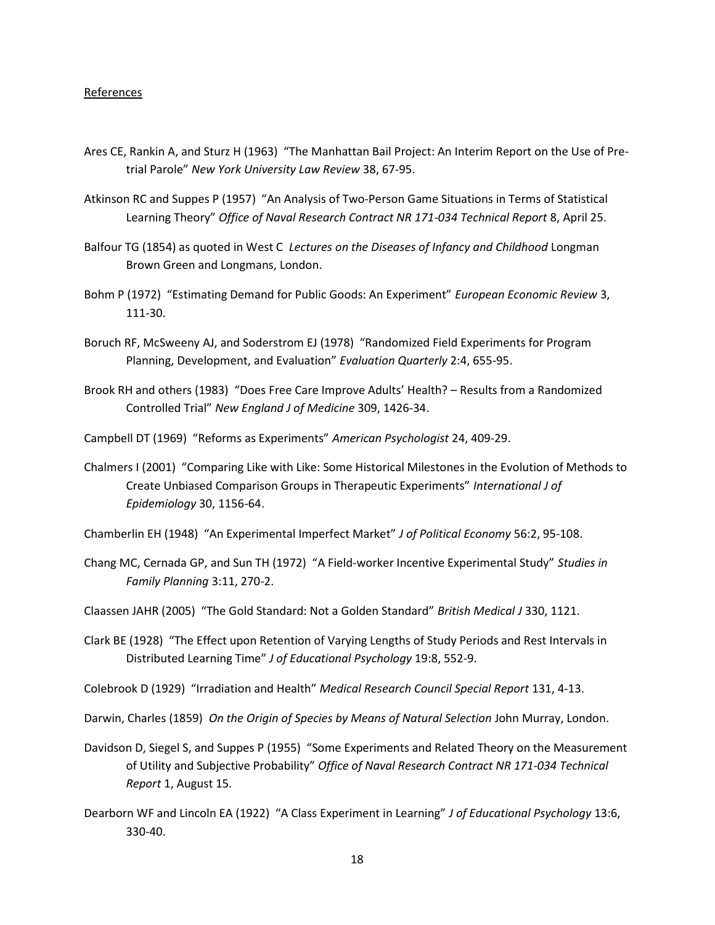### References

- Ares CE, Rankin A, and Sturz H (1963) "The Manhattan Bail Project: An Interim Report on the Use of Pretrial Parole" New York University Law Review 38, 67-95.
- Atkinson RC and Suppes P (1957) "An Analysis of Two-Person Game Situations in Terms of Statistical Learning Theory" Office of Naval Research Contract NR 171-034 Technical Report 8, April 25.
- Balfour TG (1854) as quoted in West C Lectures on the Diseases of Infancy and Childhood Longman Brown Green and Longmans, London.
- Bohm P (1972) "Estimating Demand for Public Goods: An Experiment" European Economic Review 3, 111-30.
- Boruch RF, McSweeny AJ, and Soderstrom EJ (1978) "Randomized Field Experiments for Program Planning, Development, and Evaluation" Evaluation Quarterly 2:4, 655-95.
- Brook RH and others (1983) "Does Free Care Improve Adults' Health? Results from a Randomized Controlled Trial" New England J of Medicine 309, 1426-34.
- Campbell DT (1969) "Reforms as Experiments" American Psychologist 24, 409-29.
- Chalmers I (2001) "Comparing Like with Like: Some Historical Milestones in the Evolution of Methods to Create Unbiased Comparison Groups in Therapeutic Experiments" International J of Epidemiology 30, 1156-64.
- Chamberlin EH (1948) "An Experimental Imperfect Market" J of Political Economy 56:2, 95-108.
- Chang MC, Cernada GP, and Sun TH (1972) "A Field-worker Incentive Experimental Study" Studies in Family Planning 3:11, 270-2.
- Claassen JAHR (2005) "The Gold Standard: Not a Golden Standard" British Medical J 330, 1121.
- Clark BE (1928) "The Effect upon Retention of Varying Lengths of Study Periods and Rest Intervals in Distributed Learning Time" J of Educational Psychology 19:8, 552-9.

Colebrook D (1929) "Irradiation and Health" Medical Research Council Special Report 131, 4-13.

Darwin, Charles (1859) On the Origin of Species by Means of Natural Selection John Murray, London.

- Davidson D, Siegel S, and Suppes P (1955) "Some Experiments and Related Theory on the Measurement of Utility and Subjective Probability" Office of Naval Research Contract NR 171-034 Technical Report 1, August 15.
- Dearborn WF and Lincoln EA (1922) "A Class Experiment in Learning" J of Educational Psychology 13:6, 330-40.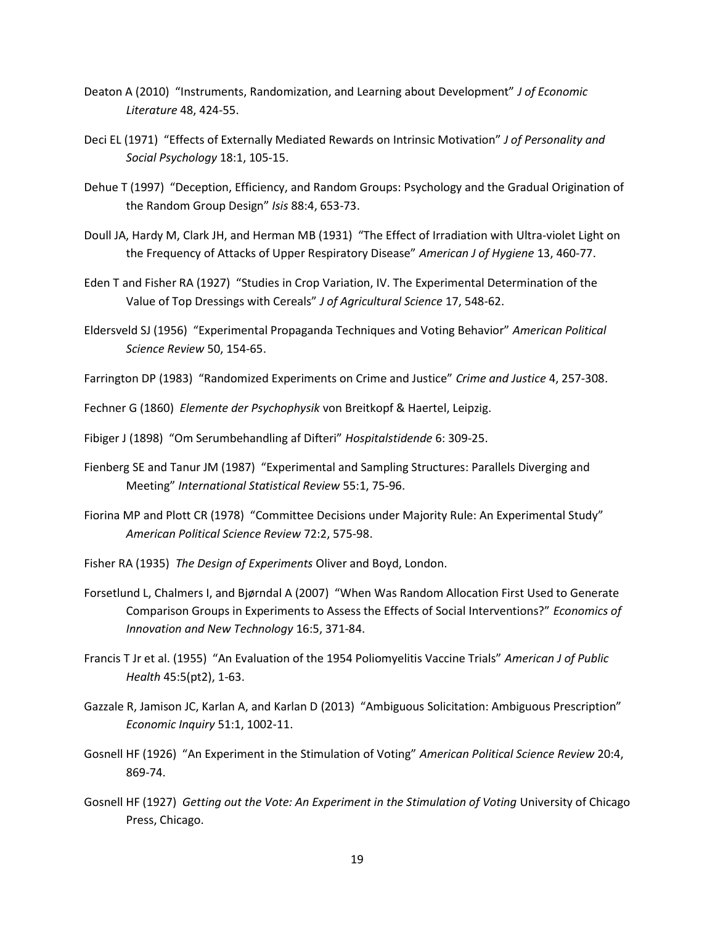- Deaton A (2010) "Instruments, Randomization, and Learning about Development" J of Economic Literature 48, 424-55.
- Deci EL (1971) "Effects of Externally Mediated Rewards on Intrinsic Motivation" J of Personality and Social Psychology 18:1, 105-15.
- Dehue T (1997) "Deception, Efficiency, and Random Groups: Psychology and the Gradual Origination of the Random Group Design" Isis 88:4, 653-73.
- Doull JA, Hardy M, Clark JH, and Herman MB (1931) "The Effect of Irradiation with Ultra-violet Light on the Frequency of Attacks of Upper Respiratory Disease" American J of Hygiene 13, 460-77.
- Eden T and Fisher RA (1927) "Studies in Crop Variation, IV. The Experimental Determination of the Value of Top Dressings with Cereals" J of Agricultural Science 17, 548-62.
- Eldersveld SJ (1956) "Experimental Propaganda Techniques and Voting Behavior" American Political Science Review 50, 154-65.
- Farrington DP (1983) "Randomized Experiments on Crime and Justice" Crime and Justice 4, 257-308.

Fechner G (1860) Elemente der Psychophysik von Breitkopf & Haertel, Leipzig.

- Fibiger J (1898) "Om Serumbehandling af Difteri" Hospitalstidende 6: 309-25.
- Fienberg SE and Tanur JM (1987) "Experimental and Sampling Structures: Parallels Diverging and Meeting" International Statistical Review 55:1, 75-96.
- Fiorina MP and Plott CR (1978) "Committee Decisions under Majority Rule: An Experimental Study" American Political Science Review 72:2, 575-98.
- Fisher RA (1935) The Design of Experiments Oliver and Boyd, London.
- Forsetlund L, Chalmers I, and Bjørndal A (2007) "When Was Random Allocation First Used to Generate Comparison Groups in Experiments to Assess the Effects of Social Interventions?" Economics of Innovation and New Technology 16:5, 371-84.
- Francis T Jr et al. (1955) "An Evaluation of the 1954 Poliomyelitis Vaccine Trials" American J of Public Health 45:5(pt2), 1-63.
- Gazzale R, Jamison JC, Karlan A, and Karlan D (2013) "Ambiguous Solicitation: Ambiguous Prescription" Economic Inquiry 51:1, 1002-11.
- Gosnell HF (1926) "An Experiment in the Stimulation of Voting" American Political Science Review 20:4, 869-74.
- Gosnell HF (1927) Getting out the Vote: An Experiment in the Stimulation of Voting University of Chicago Press, Chicago.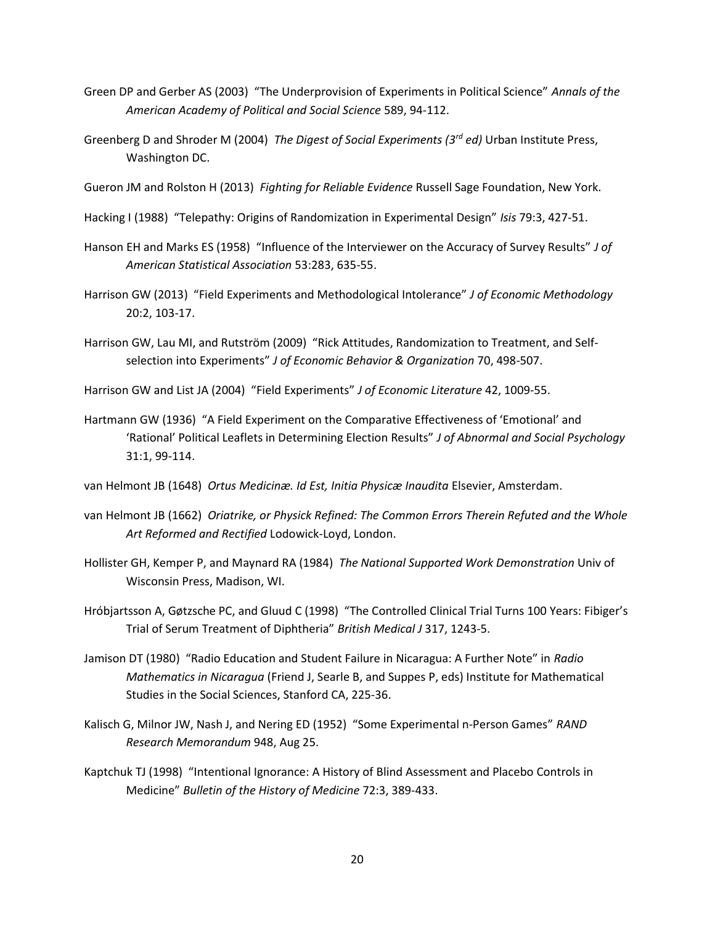- Green DP and Gerber AS (2003) "The Underprovision of Experiments in Political Science" Annals of the American Academy of Political and Social Science 589, 94-112.
- Greenberg D and Shroder M (2004) The Digest of Social Experiments ( $3^{rd}$  ed) Urban Institute Press, Washington DC.

Gueron JM and Rolston H (2013) Fighting for Reliable Evidence Russell Sage Foundation, New York.

- Hacking I (1988) "Telepathy: Origins of Randomization in Experimental Design" Isis 79:3, 427-51.
- Hanson EH and Marks ES (1958) "Influence of the Interviewer on the Accuracy of Survey Results" J of American Statistical Association 53:283, 635-55.
- Harrison GW (2013) "Field Experiments and Methodological Intolerance" J of Economic Methodology 20:2, 103-17.
- Harrison GW, Lau MI, and Rutström (2009) "Rick Attitudes, Randomization to Treatment, and Selfselection into Experiments" J of Economic Behavior & Organization 70, 498-507.
- Harrison GW and List JA (2004) "Field Experiments" J of Economic Literature 42, 1009-55.
- Hartmann GW (1936) "A Field Experiment on the Comparative Effectiveness of 'Emotional' and 'Rational' Political Leaflets in Determining Election Results" J of Abnormal and Social Psychology 31:1, 99-114.

van Helmont JB (1648) Ortus Medicinæ. Id Est, Initia Physicæ Inaudita Elsevier, Amsterdam.

- van Helmont JB (1662) Oriatrike, or Physick Refined: The Common Errors Therein Refuted and the Whole Art Reformed and Rectified Lodowick-Loyd, London.
- Hollister GH, Kemper P, and Maynard RA (1984) The National Supported Work Demonstration Univ of Wisconsin Press, Madison, WI.
- Hróbjartsson A, Gøtzsche PC, and Gluud C (1998) "The Controlled Clinical Trial Turns 100 Years: Fibiger's Trial of Serum Treatment of Diphtheria" British Medical J 317, 1243-5.
- Jamison DT (1980) "Radio Education and Student Failure in Nicaragua: A Further Note" in Radio Mathematics in Nicaragua (Friend J, Searle B, and Suppes P, eds) Institute for Mathematical Studies in the Social Sciences, Stanford CA, 225-36.
- Kalisch G, Milnor JW, Nash J, and Nering ED (1952) "Some Experimental n-Person Games" RAND Research Memorandum 948, Aug 25.
- Kaptchuk TJ (1998) "Intentional Ignorance: A History of Blind Assessment and Placebo Controls in Medicine" Bulletin of the History of Medicine 72:3, 389-433.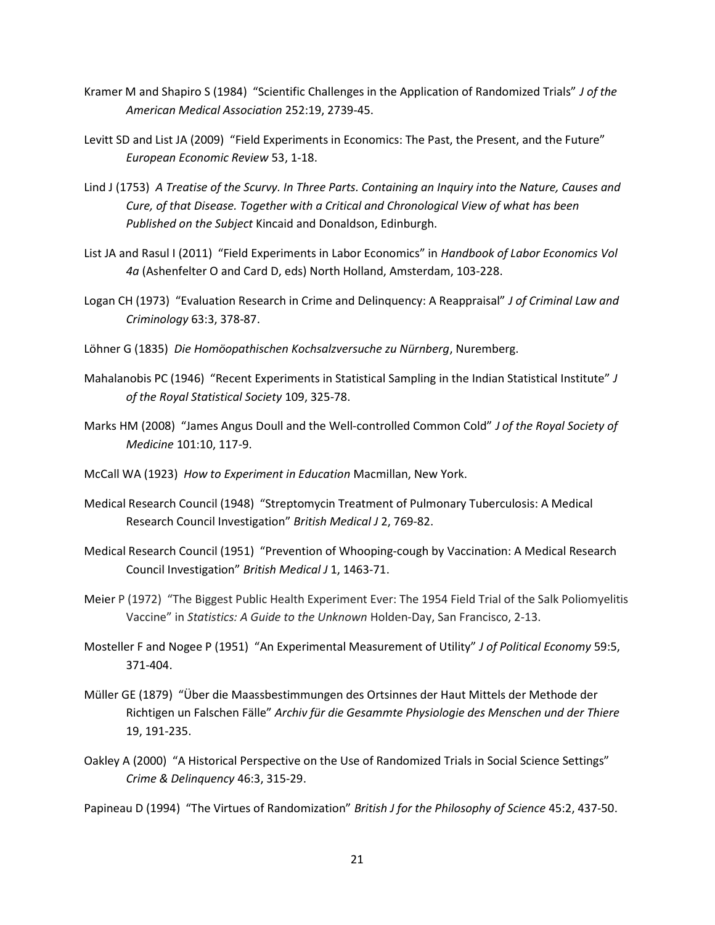- Kramer M and Shapiro S (1984) "Scientific Challenges in the Application of Randomized Trials" J of the American Medical Association 252:19, 2739-45.
- Levitt SD and List JA (2009) "Field Experiments in Economics: The Past, the Present, and the Future" European Economic Review 53, 1-18.
- Lind J (1753) A Treatise of the Scurvy. In Three Parts. Containing an Inquiry into the Nature, Causes and Cure, of that Disease. Together with a Critical and Chronological View of what has been Published on the Subject Kincaid and Donaldson, Edinburgh.
- List JA and Rasul I (2011) "Field Experiments in Labor Economics" in Handbook of Labor Economics Vol 4a (Ashenfelter O and Card D, eds) North Holland, Amsterdam, 103-228.
- Logan CH (1973) "Evaluation Research in Crime and Delinquency: A Reappraisal" J of Criminal Law and Criminology 63:3, 378-87.
- Löhner G (1835) Die Homöopathischen Kochsalzversuche zu Nürnberg, Nuremberg.
- Mahalanobis PC (1946) "Recent Experiments in Statistical Sampling in the Indian Statistical Institute" J of the Royal Statistical Society 109, 325-78.
- Marks HM (2008) "James Angus Doull and the Well-controlled Common Cold" J of the Royal Society of Medicine 101:10, 117-9.
- McCall WA (1923) How to Experiment in Education Macmillan, New York.
- Medical Research Council (1948) "Streptomycin Treatment of Pulmonary Tuberculosis: A Medical Research Council Investigation" British Medical J 2, 769-82.
- Medical Research Council (1951) "Prevention of Whooping-cough by Vaccination: A Medical Research Council Investigation" British Medical J 1, 1463-71.
- Meier P (1972) "The Biggest Public Health Experiment Ever: The 1954 Field Trial of the Salk Poliomyelitis Vaccine" in Statistics: A Guide to the Unknown Holden-Day, San Francisco, 2-13.
- Mosteller F and Nogee P (1951) "An Experimental Measurement of Utility" J of Political Economy 59:5, 371-404.
- Müller GE (1879) "Über die Maassbestimmungen des Ortsinnes der Haut Mittels der Methode der Richtigen un Falschen Fälle" Archiv für die Gesammte Physiologie des Menschen und der Thiere 19, 191-235.
- Oakley A (2000) "A Historical Perspective on the Use of Randomized Trials in Social Science Settings" Crime & Delinquency 46:3, 315-29.

Papineau D (1994) "The Virtues of Randomization" British J for the Philosophy of Science 45:2, 437-50.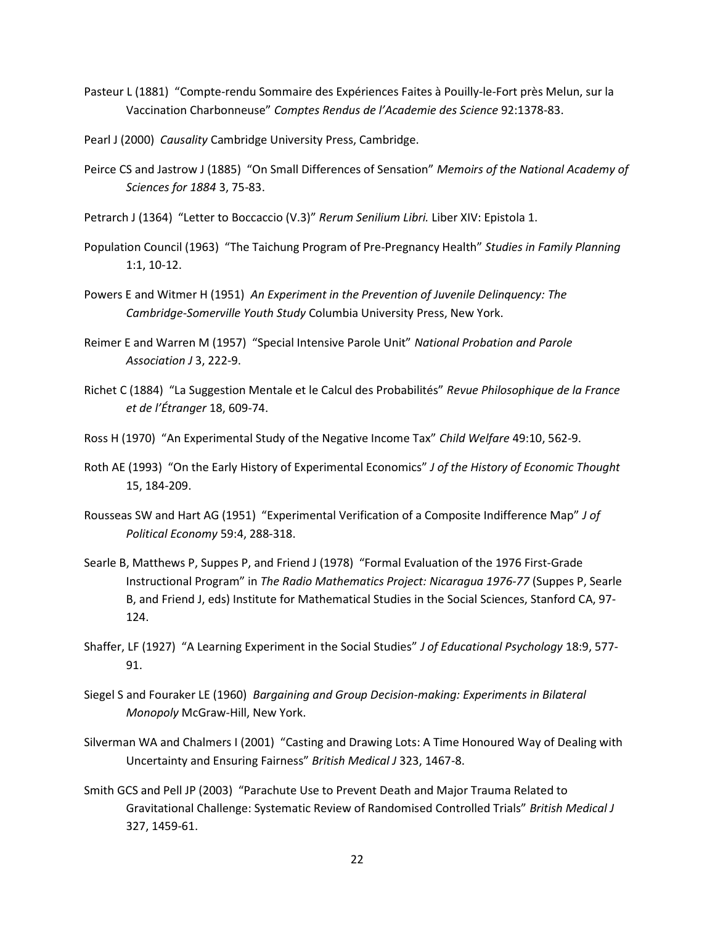- Pasteur L (1881) "Compte-rendu Sommaire des Expériences Faites à Pouilly-le-Fort près Melun, sur la Vaccination Charbonneuse" Comptes Rendus de l'Academie des Science 92:1378-83.
- Pearl J (2000) Causality Cambridge University Press, Cambridge.
- Peirce CS and Jastrow J (1885) "On Small Differences of Sensation" Memoirs of the National Academy of Sciences for 1884 3, 75-83.
- Petrarch J (1364) "Letter to Boccaccio (V.3)" Rerum Senilium Libri. Liber XIV: Epistola 1.
- Population Council (1963) "The Taichung Program of Pre-Pregnancy Health" Studies in Family Planning 1:1, 10-12.
- Powers E and Witmer H (1951) An Experiment in the Prevention of Juvenile Delinquency: The Cambridge-Somerville Youth Study Columbia University Press, New York.
- Reimer E and Warren M (1957) "Special Intensive Parole Unit" National Probation and Parole Association J 3, 222-9.
- Richet C (1884) "La Suggestion Mentale et le Calcul des Probabilités" Revue Philosophique de la France et de l'Étranger 18, 609-74.
- Ross H (1970) "An Experimental Study of the Negative Income Tax" Child Welfare 49:10, 562-9.
- Roth AE (1993) "On the Early History of Experimental Economics" J of the History of Economic Thought 15, 184-209.
- Rousseas SW and Hart AG (1951) "Experimental Verification of a Composite Indifference Map" J of Political Economy 59:4, 288-318.
- Searle B, Matthews P, Suppes P, and Friend J (1978) "Formal Evaluation of the 1976 First-Grade Instructional Program" in The Radio Mathematics Project: Nicaragua 1976-77 (Suppes P, Searle B, and Friend J, eds) Institute for Mathematical Studies in the Social Sciences, Stanford CA, 97- 124.
- Shaffer, LF (1927) "A Learning Experiment in the Social Studies" J of Educational Psychology 18:9, 577- 91.
- Siegel S and Fouraker LE (1960) Bargaining and Group Decision-making: Experiments in Bilateral Monopoly McGraw-Hill, New York.
- Silverman WA and Chalmers I (2001) "Casting and Drawing Lots: A Time Honoured Way of Dealing with Uncertainty and Ensuring Fairness" British Medical J 323, 1467-8.
- Smith GCS and Pell JP (2003) "Parachute Use to Prevent Death and Major Trauma Related to Gravitational Challenge: Systematic Review of Randomised Controlled Trials" British Medical J 327, 1459-61.